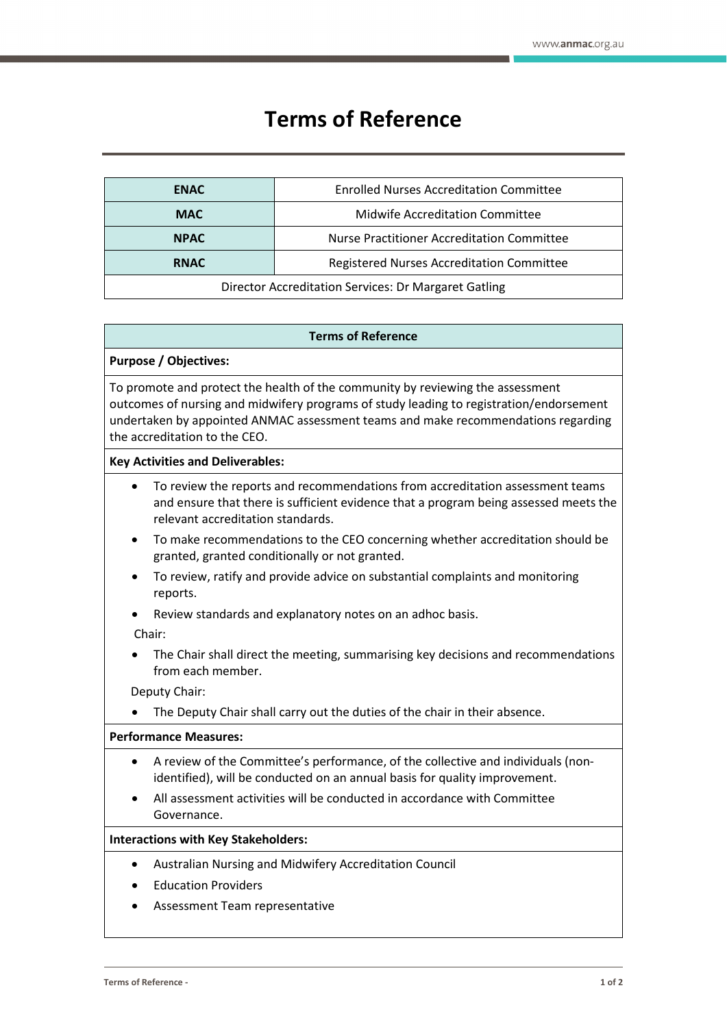# **Terms of Reference**

| <b>ENAC</b>                                          | <b>Enrolled Nurses Accreditation Committee</b>    |
|------------------------------------------------------|---------------------------------------------------|
| <b>MAC</b>                                           | Midwife Accreditation Committee                   |
| <b>NPAC</b>                                          | <b>Nurse Practitioner Accreditation Committee</b> |
| <b>RNAC</b>                                          | Registered Nurses Accreditation Committee         |
| Director Accreditation Services: Dr Margaret Gatling |                                                   |

#### **Terms of Reference**

## **Purpose / Objectives:**

To promote and protect the health of the community by reviewing the assessment outcomes of nursing and midwifery programs of study leading to registration/endorsement undertaken by appointed ANMAC assessment teams and make recommendations regarding the accreditation to the CEO.

## **Key Activities and Deliverables:**

- To review the reports and recommendations from accreditation assessment teams and ensure that there is sufficient evidence that a program being assessed meets the relevant accreditation standards.
- To make recommendations to the CEO concerning whether accreditation should be granted, granted conditionally or not granted.
- To review, ratify and provide advice on substantial complaints and monitoring reports.
- Review standards and explanatory notes on an adhoc basis.

Chair:

• The Chair shall direct the meeting, summarising key decisions and recommendations from each member.

Deputy Chair:

The Deputy Chair shall carry out the duties of the chair in their absence.

#### **Performance Measures:**

- A review of the Committee's performance, of the collective and individuals (nonidentified), will be conducted on an annual basis for quality improvement.
- All assessment activities will be conducted in accordance with Committee Governance.

#### **Interactions with Key Stakeholders:**

- Australian Nursing and Midwifery Accreditation Council
- Education Providers
- Assessment Team representative